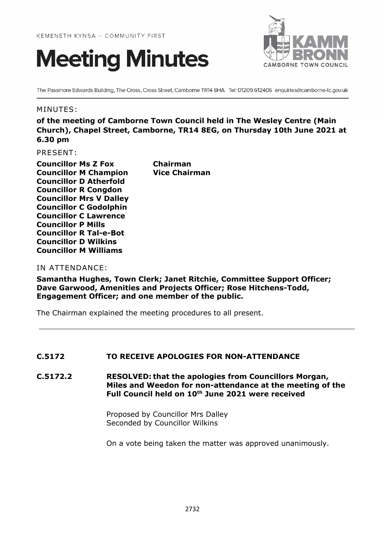



The Passmore Edwards Building, The Cross, Cross Street, Camborne TR14 8HA Tel: 01209 612406 enquiries@camborne-tc.gov.uk

#### MINUTES:

**of the meeting of Camborne Town Council held in The Wesley Centre (Main Church), Chapel Street, Camborne, TR14 8EG, on Thursday 10th June 2021 at 6.30 pm**

PRESENT:

**Councillor Ms Z Fox Chairman Councillor M Champion Vice Chairman Councillor D Atherfold Councillor R Congdon Councillor Mrs V Dalley Councillor C Godolphin Councillor C Lawrence Councillor P Mills Councillor R Tal-e-Bot Councillor D Wilkins Councillor M Williams**

## IN ATTENDANCE:

**Samantha Hughes, Town Clerk; Janet Ritchie, Committee Support Officer; Dave Garwood, Amenities and Projects Officer; Rose Hitchens-Todd, Engagement Officer; and one member of the public.**

The Chairman explained the meeting procedures to all present.

#### **C.5172 TO RECEIVE APOLOGIES FOR NON-ATTENDANCE**

**C.5172.2 RESOLVED: that the apologies from Councillors Morgan, Miles and Weedon for non-attendance at the meeting of the Full Council held on 10th June 2021 were received**

> Proposed by Councillor Mrs Dalley Seconded by Councillor Wilkins

On a vote being taken the matter was approved unanimously.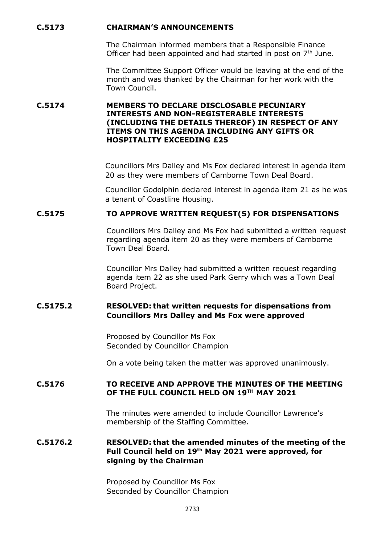#### **C.5173 CHAIRMAN'S ANNOUNCEMENTS**

The Chairman informed members that a Responsible Finance Officer had been appointed and had started in post on 7<sup>th</sup> June.

The Committee Support Officer would be leaving at the end of the month and was thanked by the Chairman for her work with the Town Council.

**C.5174 MEMBERS TO DECLARE DISCLOSABLE PECUNIARY INTERESTS AND NON-REGISTERABLE INTERESTS (INCLUDING THE DETAILS THEREOF) IN RESPECT OF ANY ITEMS ON THIS AGENDA INCLUDING ANY GIFTS OR HOSPITALITY EXCEEDING £25**

> Councillors Mrs Dalley and Ms Fox declared interest in agenda item 20 as they were members of Camborne Town Deal Board.

> Councillor Godolphin declared interest in agenda item 21 as he was a tenant of Coastline Housing.

## **C.5175 TO APPROVE WRITTEN REQUEST(S) FOR DISPENSATIONS**

Councillors Mrs Dalley and Ms Fox had submitted a written request regarding agenda item 20 as they were members of Camborne Town Deal Board.

Councillor Mrs Dalley had submitted a written request regarding agenda item 22 as she used Park Gerry which was a Town Deal Board Project.

## **C.5175.2 RESOLVED: that written requests for dispensations from Councillors Mrs Dalley and Ms Fox were approved**

Proposed by Councillor Ms Fox Seconded by Councillor Champion

On a vote being taken the matter was approved unanimously.

## **C.5176 TO RECEIVE AND APPROVE THE MINUTES OF THE MEETING OF THE FULL COUNCIL HELD ON 19TH MAY 2021**

The minutes were amended to include Councillor Lawrence's membership of the Staffing Committee.

# **C.5176.2 RESOLVED: that the amended minutes of the meeting of the Full Council held on 19th May 2021 were approved, for signing by the Chairman**

Proposed by Councillor Ms Fox Seconded by Councillor Champion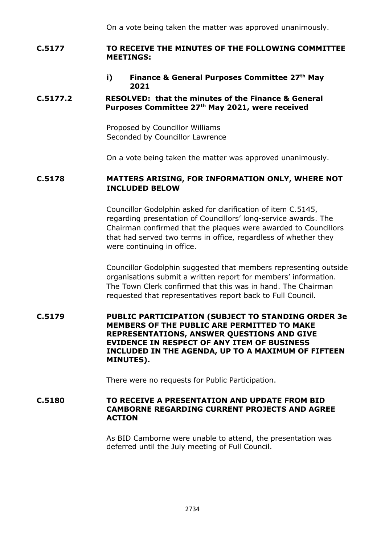On a vote being taken the matter was approved unanimously.

# **C.5177 TO RECEIVE THE MINUTES OF THE FOLLOWING COMMITTEE MEETINGS:**

**i) Finance & General Purposes Committee 27th May 2021**

## **C.5177.2 RESOLVED: that the minutes of the Finance & General Purposes Committee 27th May 2021, were received**

Proposed by Councillor Williams Seconded by Councillor Lawrence

On a vote being taken the matter was approved unanimously.

# **C.5178 MATTERS ARISING, FOR INFORMATION ONLY, WHERE NOT INCLUDED BELOW**

Councillor Godolphin asked for clarification of item C.5145, regarding presentation of Councillors' long-service awards. The Chairman confirmed that the plaques were awarded to Councillors that had served two terms in office, regardless of whether they were continuing in office.

Councillor Godolphin suggested that members representing outside organisations submit a written report for members' information. The Town Clerk confirmed that this was in hand. The Chairman requested that representatives report back to Full Council.

**C.5179 PUBLIC PARTICIPATION (SUBJECT TO STANDING ORDER 3e MEMBERS OF THE PUBLIC ARE PERMITTED TO MAKE REPRESENTATIONS, ANSWER QUESTIONS AND GIVE EVIDENCE IN RESPECT OF ANY ITEM OF BUSINESS INCLUDED IN THE AGENDA, UP TO A MAXIMUM OF FIFTEEN MINUTES).**

There were no requests for Public Participation.

## **C.5180 TO RECEIVE A PRESENTATION AND UPDATE FROM BID CAMBORNE REGARDING CURRENT PROJECTS AND AGREE ACTION**

As BID Camborne were unable to attend, the presentation was deferred until the July meeting of Full Council.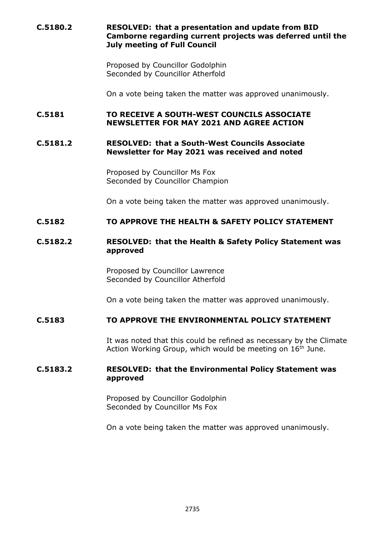# **C.5180.2 RESOLVED: that a presentation and update from BID Camborne regarding current projects was deferred until the July meeting of Full Council**

Proposed by Councillor Godolphin Seconded by Councillor Atherfold

On a vote being taken the matter was approved unanimously.

## **C.5181 TO RECEIVE A SOUTH-WEST COUNCILS ASSOCIATE NEWSLETTER FOR MAY 2021 AND AGREE ACTION**

## **C.5181.2 RESOLVED: that a South-West Councils Associate Newsletter for May 2021 was received and noted**

Proposed by Councillor Ms Fox Seconded by Councillor Champion

On a vote being taken the matter was approved unanimously.

## **C.5182 TO APPROVE THE HEALTH & SAFETY POLICY STATEMENT**

## **C.5182.2 RESOLVED: that the Health & Safety Policy Statement was approved**

Proposed by Councillor Lawrence Seconded by Councillor Atherfold

On a vote being taken the matter was approved unanimously.

#### **C.5183 TO APPROVE THE ENVIRONMENTAL POLICY STATEMENT**

It was noted that this could be refined as necessary by the Climate Action Working Group, which would be meeting on 16<sup>th</sup> June.

#### **C.5183.2 RESOLVED: that the Environmental Policy Statement was approved**

Proposed by Councillor Godolphin Seconded by Councillor Ms Fox

On a vote being taken the matter was approved unanimously.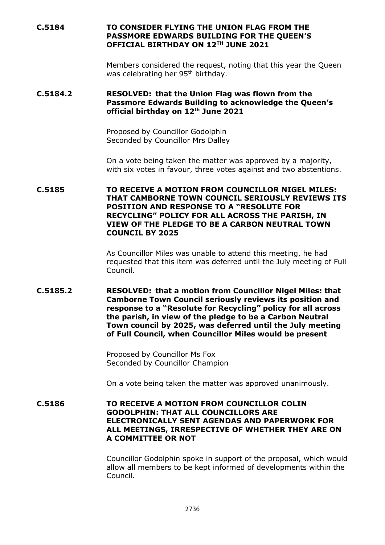**C.5184 TO CONSIDER FLYING THE UNION FLAG FROM THE PASSMORE EDWARDS BUILDING FOR THE QUEEN'S OFFICIAL BIRTHDAY ON 12TH JUNE 2021**

> Members considered the request, noting that this year the Queen was celebrating her 95<sup>th</sup> birthday.

#### **C.5184.2 RESOLVED: that the Union Flag was flown from the Passmore Edwards Building to acknowledge the Queen's official birthday on 12th June 2021**

Proposed by Councillor Godolphin Seconded by Councillor Mrs Dalley

On a vote being taken the matter was approved by a majority, with six votes in favour, three votes against and two abstentions.

**C.5185 TO RECEIVE A MOTION FROM COUNCILLOR NIGEL MILES: THAT CAMBORNE TOWN COUNCIL SERIOUSLY REVIEWS ITS POSITION AND RESPONSE TO A "RESOLUTE FOR RECYCLING" POLICY FOR ALL ACROSS THE PARISH, IN VIEW OF THE PLEDGE TO BE A CARBON NEUTRAL TOWN COUNCIL BY 2025**

> As Councillor Miles was unable to attend this meeting, he had requested that this item was deferred until the July meeting of Full Council.

**C.5185.2 RESOLVED: that a motion from Councillor Nigel Miles: that Camborne Town Council seriously reviews its position and response to a "Resolute for Recycling" policy for all across the parish, in view of the pledge to be a Carbon Neutral Town council by 2025, was deferred until the July meeting of Full Council, when Councillor Miles would be present**

> Proposed by Councillor Ms Fox Seconded by Councillor Champion

On a vote being taken the matter was approved unanimously.

**C.5186 TO RECEIVE A MOTION FROM COUNCILLOR COLIN GODOLPHIN: THAT ALL COUNCILLORS ARE ELECTRONICALLY SENT AGENDAS AND PAPERWORK FOR ALL MEETINGS, IRRESPECTIVE OF WHETHER THEY ARE ON A COMMITTEE OR NOT**

> Councillor Godolphin spoke in support of the proposal, which would allow all members to be kept informed of developments within the Council.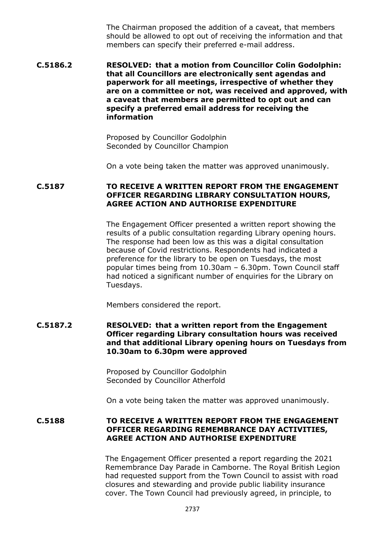The Chairman proposed the addition of a caveat, that members should be allowed to opt out of receiving the information and that members can specify their preferred e-mail address.

**C.5186.2 RESOLVED: that a motion from Councillor Colin Godolphin: that all Councillors are electronically sent agendas and paperwork for all meetings, irrespective of whether they are on a committee or not, was received and approved, with a caveat that members are permitted to opt out and can specify a preferred email address for receiving the information**

> Proposed by Councillor Godolphin Seconded by Councillor Champion

On a vote being taken the matter was approved unanimously.

## **C.5187 TO RECEIVE A WRITTEN REPORT FROM THE ENGAGEMENT OFFICER REGARDING LIBRARY CONSULTATION HOURS, AGREE ACTION AND AUTHORISE EXPENDITURE**

The Engagement Officer presented a written report showing the results of a public consultation regarding Library opening hours. The response had been low as this was a digital consultation because of Covid restrictions. Respondents had indicated a preference for the library to be open on Tuesdays, the most popular times being from 10.30am – 6.30pm. Town Council staff had noticed a significant number of enquiries for the Library on Tuesdays.

Members considered the report.

**C.5187.2 RESOLVED: that a written report from the Engagement Officer regarding Library consultation hours was received and that additional Library opening hours on Tuesdays from 10.30am to 6.30pm were approved**

> Proposed by Councillor Godolphin Seconded by Councillor Atherfold

On a vote being taken the matter was approved unanimously.

#### **C.5188 TO RECEIVE A WRITTEN REPORT FROM THE ENGAGEMENT OFFICER REGARDING REMEMBRANCE DAY ACTIVITIES, AGREE ACTION AND AUTHORISE EXPENDITURE**

The Engagement Officer presented a report regarding the 2021 Remembrance Day Parade in Camborne. The Royal British Legion had requested support from the Town Council to assist with road closures and stewarding and provide public liability insurance cover. The Town Council had previously agreed, in principle, to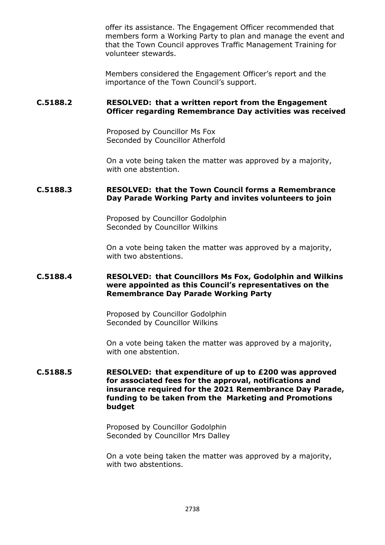offer its assistance. The Engagement Officer recommended that members form a Working Party to plan and manage the event and that the Town Council approves Traffic Management Training for volunteer stewards.

Members considered the Engagement Officer's report and the importance of the Town Council's support.

#### **C.5188.2 RESOLVED: that a written report from the Engagement Officer regarding Remembrance Day activities was received**

Proposed by Councillor Ms Fox Seconded by Councillor Atherfold

On a vote being taken the matter was approved by a majority, with one abstention.

#### **C.5188.3 RESOLVED: that the Town Council forms a Remembrance Day Parade Working Party and invites volunteers to join**

Proposed by Councillor Godolphin Seconded by Councillor Wilkins

On a vote being taken the matter was approved by a majority, with two abstentions.

## **C.5188.4 RESOLVED: that Councillors Ms Fox, Godolphin and Wilkins were appointed as this Council's representatives on the Remembrance Day Parade Working Party**

Proposed by Councillor Godolphin Seconded by Councillor Wilkins

On a vote being taken the matter was approved by a majority, with one abstention.

#### **C.5188.5 RESOLVED: that expenditure of up to £200 was approved for associated fees for the approval, notifications and insurance required for the 2021 Remembrance Day Parade, funding to be taken from the Marketing and Promotions budget**

Proposed by Councillor Godolphin Seconded by Councillor Mrs Dalley

On a vote being taken the matter was approved by a majority, with two abstentions.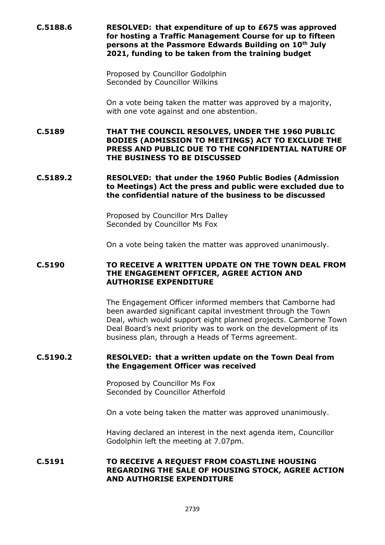**C.5188.6 RESOLVED: that expenditure of up to £675 was approved for hosting a Traffic Management Course for up to fifteen persons at the Passmore Edwards Building on 10th July 2021, funding to be taken from the training budget** 

> Proposed by Councillor Godolphin Seconded by Councillor Wilkins

On a vote being taken the matter was approved by a majority, with one vote against and one abstention.

**C.5189 THAT THE COUNCIL RESOLVES, UNDER THE 1960 PUBLIC BODIES (ADMISSION TO MEETINGS) ACT TO EXCLUDE THE PRESS AND PUBLIC DUE TO THE CONFIDENTIAL NATURE OF THE BUSINESS TO BE DISCUSSED**

## **C.5189.2 RESOLVED: that under the 1960 Public Bodies (Admission to Meetings) Act the press and public were excluded due to the confidential nature of the business to be discussed**

Proposed by Councillor Mrs Dalley Seconded by Councillor Ms Fox

On a vote being taken the matter was approved unanimously.

## **C.5190 TO RECEIVE A WRITTEN UPDATE ON THE TOWN DEAL FROM THE ENGAGEMENT OFFICER, AGREE ACTION AND AUTHORISE EXPENDITURE**

The Engagement Officer informed members that Camborne had been awarded significant capital investment through the Town Deal, which would support eight planned projects. Camborne Town Deal Board's next priority was to work on the development of its business plan, through a Heads of Terms agreement.

## **C.5190.2 RESOLVED: that a written update on the Town Deal from the Engagement Officer was received**

Proposed by Councillor Ms Fox Seconded by Councillor Atherfold

On a vote being taken the matter was approved unanimously.

Having declared an interest in the next agenda item, Councillor Godolphin left the meeting at 7.07pm.

#### **C.5191 TO RECEIVE A REQUEST FROM COASTLINE HOUSING REGARDING THE SALE OF HOUSING STOCK, AGREE ACTION AND AUTHORISE EXPENDITURE**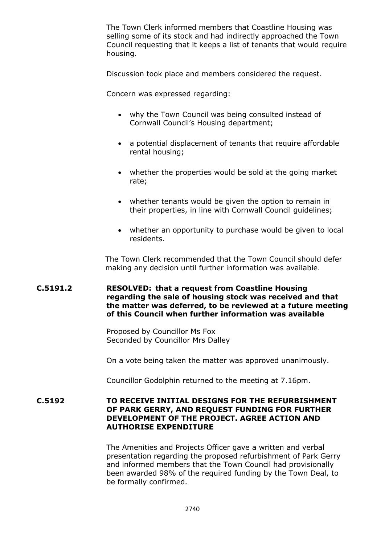The Town Clerk informed members that Coastline Housing was selling some of its stock and had indirectly approached the Town Council requesting that it keeps a list of tenants that would require housing.

Discussion took place and members considered the request.

Concern was expressed regarding:

- why the Town Council was being consulted instead of Cornwall Council's Housing department;
- a potential displacement of tenants that require affordable rental housing;
- whether the properties would be sold at the going market rate;
- whether tenants would be given the option to remain in their properties, in line with Cornwall Council guidelines;
- whether an opportunity to purchase would be given to local residents.

The Town Clerk recommended that the Town Council should defer making any decision until further information was available.

# **C.5191.2 RESOLVED: that a request from Coastline Housing regarding the sale of housing stock was received and that the matter was deferred, to be reviewed at a future meeting of this Council when further information was available**

Proposed by Councillor Ms Fox Seconded by Councillor Mrs Dalley

On a vote being taken the matter was approved unanimously.

Councillor Godolphin returned to the meeting at 7.16pm.

#### **C.5192 TO RECEIVE INITIAL DESIGNS FOR THE REFURBISHMENT OF PARK GERRY, AND REQUEST FUNDING FOR FURTHER DEVELOPMENT OF THE PROJECT. AGREE ACTION AND AUTHORISE EXPENDITURE**

The Amenities and Projects Officer gave a written and verbal presentation regarding the proposed refurbishment of Park Gerry and informed members that the Town Council had provisionally been awarded 98% of the required funding by the Town Deal, to be formally confirmed.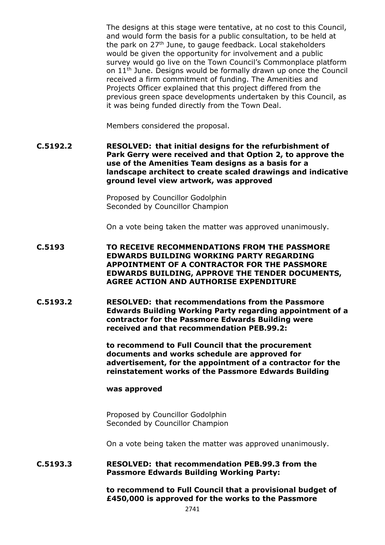The designs at this stage were tentative, at no cost to this Council, and would form the basis for a public consultation, to be held at the park on  $27<sup>th</sup>$  June, to gauge feedback. Local stakeholders would be given the opportunity for involvement and a public survey would go live on the Town Council's Commonplace platform on 11<sup>th</sup> June. Designs would be formally drawn up once the Council received a firm commitment of funding. The Amenities and Projects Officer explained that this project differed from the previous green space developments undertaken by this Council, as it was being funded directly from the Town Deal.

Members considered the proposal.

**C.5192.2 RESOLVED: that initial designs for the refurbishment of Park Gerry were received and that Option 2, to approve the use of the Amenities Team designs as a basis for a landscape architect to create scaled drawings and indicative ground level view artwork, was approved**

> Proposed by Councillor Godolphin Seconded by Councillor Champion

On a vote being taken the matter was approved unanimously.

**C.5193 TO RECEIVE RECOMMENDATIONS FROM THE PASSMORE EDWARDS BUILDING WORKING PARTY REGARDING APPOINTMENT OF A CONTRACTOR FOR THE PASSMORE EDWARDS BUILDING, APPROVE THE TENDER DOCUMENTS, AGREE ACTION AND AUTHORISE EXPENDITURE**

**C.5193.2 RESOLVED: that recommendations from the Passmore Edwards Building Working Party regarding appointment of a contractor for the Passmore Edwards Building were received and that recommendation PEB.99.2:**

> **to recommend to Full Council that the procurement documents and works schedule are approved for advertisement, for the appointment of a contractor for the reinstatement works of the Passmore Edwards Building**

#### **was approved**

Proposed by Councillor Godolphin Seconded by Councillor Champion

On a vote being taken the matter was approved unanimously.

# **C.5193.3 RESOLVED: that recommendation PEB.99.3 from the Passmore Edwards Building Working Party:**

**to recommend to Full Council that a provisional budget of £450,000 is approved for the works to the Passmore**